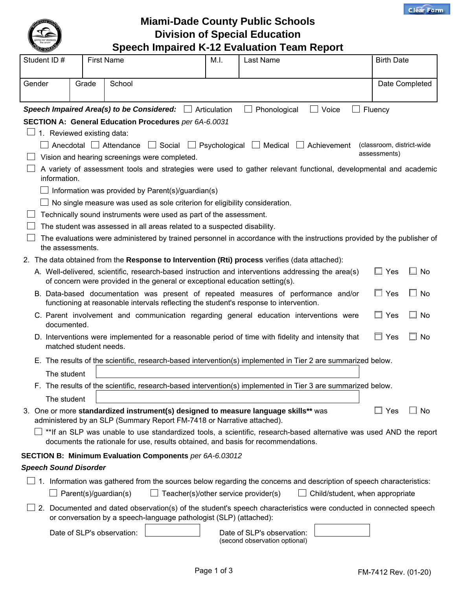



**Miami-Dade County Public Schools Division of Special Education Speech Impaired K-12 Evaluation Team Report**

| <b>CONSCRIPT</b>             |       |                                                                                                                                                               |      | Opocon impanca iv iz Evaluation Team Report                                                                                                                    |                            |                     |
|------------------------------|-------|---------------------------------------------------------------------------------------------------------------------------------------------------------------|------|----------------------------------------------------------------------------------------------------------------------------------------------------------------|----------------------------|---------------------|
| Student ID#                  |       | <b>First Name</b>                                                                                                                                             | M.I. | Last Name                                                                                                                                                      | <b>Birth Date</b>          |                     |
| Gender                       | Grade | School                                                                                                                                                        |      |                                                                                                                                                                |                            | Date Completed      |
|                              |       | Speech Impaired Area(s) to be Considered: $\Box$ Articulation                                                                                                 |      | Phonological<br>Voice<br>$\mathbf{I}$<br>$\mathbf{I}$                                                                                                          | $\Box$ Fluency             |                     |
|                              |       | SECTION A: General Education Procedures per 6A-6.0031                                                                                                         |      |                                                                                                                                                                |                            |                     |
| 1. Reviewed existing data:   |       |                                                                                                                                                               |      |                                                                                                                                                                |                            |                     |
|                              |       |                                                                                                                                                               |      | $\Box$ Anecdotal $\Box$ Attendance $\Box$ Social $\Box$ Psychological $\Box$ Medical $\Box$ Achievement                                                        | (classroom, district-wide) |                     |
|                              |       | Vision and hearing screenings were completed.                                                                                                                 |      |                                                                                                                                                                | assessments)               |                     |
| information.                 |       |                                                                                                                                                               |      | A variety of assessment tools and strategies were used to gather relevant functional, developmental and academic                                               |                            |                     |
|                              |       | $\Box$ Information was provided by Parent(s)/guardian(s)                                                                                                      |      |                                                                                                                                                                |                            |                     |
|                              |       | $\Box$ No single measure was used as sole criterion for eligibility consideration.                                                                            |      |                                                                                                                                                                |                            |                     |
|                              |       | Technically sound instruments were used as part of the assessment.                                                                                            |      |                                                                                                                                                                |                            |                     |
|                              |       | The student was assessed in all areas related to a suspected disability.                                                                                      |      |                                                                                                                                                                |                            |                     |
| the assessments.             |       |                                                                                                                                                               |      | The evaluations were administered by trained personnel in accordance with the instructions provided by the publisher of                                        |                            |                     |
|                              |       |                                                                                                                                                               |      | 2. The data obtained from the Response to Intervention (Rti) process verifies (data attached):                                                                 |                            |                     |
|                              |       | of concern were provided in the general or exceptional education setting(s).                                                                                  |      | A. Well-delivered, scientific, research-based instruction and interventions addressing the area(s)                                                             | $\Box$ Yes                 | ∐ No                |
|                              |       | functioning at reasonable intervals reflecting the student's response to intervention.                                                                        |      | B. Data-based documentation was present of repeated measures of performance and/or                                                                             | $\Box$ Yes                 | $\Box$ No           |
| documented.                  |       |                                                                                                                                                               |      | C. Parent involvement and communication regarding general education interventions were                                                                         | $\Box$ Yes                 | ∟l No               |
| matched student needs.       |       |                                                                                                                                                               |      | D. Interventions were implemented for a reasonable period of time with fidelity and intensity that                                                             | $\Box$ Yes                 | No<br>$\mathcal{L}$ |
|                              |       |                                                                                                                                                               |      | E. The results of the scientific, research-based intervention(s) implemented in Tier 2 are summarized below.                                                   |                            |                     |
| The student                  |       |                                                                                                                                                               |      |                                                                                                                                                                |                            |                     |
|                              |       |                                                                                                                                                               |      | F. The results of the scientific, research-based intervention(s) implemented in Tier 3 are summarized below.                                                   |                            |                     |
| The student                  |       |                                                                                                                                                               |      |                                                                                                                                                                |                            |                     |
|                              |       | 3. One or more standardized instrument(s) designed to measure language skills** was<br>administered by an SLP (Summary Report FM-7418 or Narrative attached). |      |                                                                                                                                                                | $\Box$ Yes                 | ⊥l No               |
|                              |       | documents the rationale for use, results obtained, and basis for recommendations.                                                                             |      | **If an SLP was unable to use standardized tools, a scientific, research-based alternative was used AND the report                                             |                            |                     |
|                              |       | SECTION B: Minimum Evaluation Components per 6A-6.03012                                                                                                       |      |                                                                                                                                                                |                            |                     |
| <b>Speech Sound Disorder</b> |       |                                                                                                                                                               |      |                                                                                                                                                                |                            |                     |
|                              |       |                                                                                                                                                               |      |                                                                                                                                                                |                            |                     |
|                              |       | Parent(s)/guardian(s)<br>Teacher(s)/other service provider(s)                                                                                                 |      | $\Box$ 1. Information was gathered from the sources below regarding the concerns and description of speech characteristics:<br>Child/student, when appropriate |                            |                     |
|                              |       | or conversation by a speech-language pathologist (SLP) (attached):                                                                                            |      | 2. Documented and dated observation(s) of the student's speech characteristics were conducted in connected speech                                              |                            |                     |
|                              |       | Date of SLP's observation:                                                                                                                                    |      | Date of SLP's observation:<br>(second observation optional)                                                                                                    |                            |                     |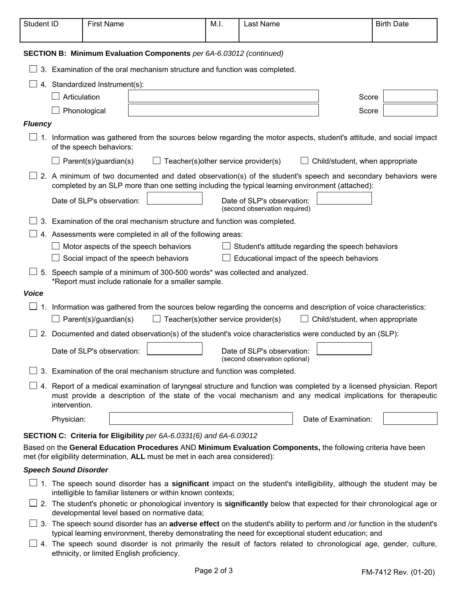| Student ID                                                   |                                                                                                                                                                                                                                                      | <b>First Name</b>              |                                                                            | M.I. | Last Name                                                   |                                                                                                                                                                                                                  | <b>Birth Date</b> |
|--------------------------------------------------------------|------------------------------------------------------------------------------------------------------------------------------------------------------------------------------------------------------------------------------------------------------|--------------------------------|----------------------------------------------------------------------------|------|-------------------------------------------------------------|------------------------------------------------------------------------------------------------------------------------------------------------------------------------------------------------------------------|-------------------|
|                                                              |                                                                                                                                                                                                                                                      |                                | SECTION B: Minimum Evaluation Components per 6A-6.03012 (continued)        |      |                                                             |                                                                                                                                                                                                                  |                   |
|                                                              |                                                                                                                                                                                                                                                      |                                | 3. Examination of the oral mechanism structure and function was completed. |      |                                                             |                                                                                                                                                                                                                  |                   |
|                                                              |                                                                                                                                                                                                                                                      | 4. Standardized Instrument(s): |                                                                            |      |                                                             |                                                                                                                                                                                                                  |                   |
|                                                              | Articulation                                                                                                                                                                                                                                         |                                |                                                                            |      |                                                             | Score                                                                                                                                                                                                            |                   |
|                                                              |                                                                                                                                                                                                                                                      | Phonological                   |                                                                            |      |                                                             | Score                                                                                                                                                                                                            |                   |
| <b>Fluency</b>                                               |                                                                                                                                                                                                                                                      |                                |                                                                            |      |                                                             |                                                                                                                                                                                                                  |                   |
|                                                              |                                                                                                                                                                                                                                                      | of the speech behaviors:       |                                                                            |      |                                                             | 1. Information was gathered from the sources below regarding the motor aspects, student's attitude, and social impact                                                                                            |                   |
|                                                              |                                                                                                                                                                                                                                                      | Parent(s)/guardian(s)          | Teacher(s) other service provider(s)                                       |      |                                                             | Child/student, when appropriate                                                                                                                                                                                  |                   |
|                                                              |                                                                                                                                                                                                                                                      |                                |                                                                            |      |                                                             | 2. A minimum of two documented and dated observation(s) of the student's speech and secondary behaviors were<br>completed by an SLP more than one setting including the typical learning environment (attached): |                   |
|                                                              | Date of SLP's observation:<br>Date of SLP's observation:<br>(second observation required)                                                                                                                                                            |                                |                                                                            |      |                                                             |                                                                                                                                                                                                                  |                   |
|                                                              |                                                                                                                                                                                                                                                      |                                | 3. Examination of the oral mechanism structure and function was completed. |      |                                                             |                                                                                                                                                                                                                  |                   |
| 4. Assessments were completed in all of the following areas: |                                                                                                                                                                                                                                                      |                                |                                                                            |      |                                                             |                                                                                                                                                                                                                  |                   |
|                                                              | $\Box$ Student's attitude regarding the speech behaviors<br>Motor aspects of the speech behaviors                                                                                                                                                    |                                |                                                                            |      |                                                             |                                                                                                                                                                                                                  |                   |
|                                                              | Educational impact of the speech behaviors<br>Social impact of the speech behaviors                                                                                                                                                                  |                                |                                                                            |      |                                                             |                                                                                                                                                                                                                  |                   |
|                                                              | 5. Speech sample of a minimum of 300-500 words* was collected and analyzed.<br>*Report must include rationale for a smaller sample.                                                                                                                  |                                |                                                                            |      |                                                             |                                                                                                                                                                                                                  |                   |
| <b>Voice</b>                                                 |                                                                                                                                                                                                                                                      |                                |                                                                            |      |                                                             |                                                                                                                                                                                                                  |                   |
|                                                              |                                                                                                                                                                                                                                                      | $\Box$ Parent(s)/guardian(s)   | Teacher(s) other service provider(s)                                       |      |                                                             | 1. Information was gathered from the sources below regarding the concerns and description of voice characteristics:<br>Child/student, when appropriate                                                           |                   |
|                                                              |                                                                                                                                                                                                                                                      |                                |                                                                            |      |                                                             | 2. Documented and dated observation(s) of the student's voice characteristics were conducted by an (SLP):                                                                                                        |                   |
|                                                              |                                                                                                                                                                                                                                                      | Date of SLP's observation:     |                                                                            |      | Date of SLP's observation:<br>(second observation optional) |                                                                                                                                                                                                                  |                   |
|                                                              |                                                                                                                                                                                                                                                      |                                | 3. Examination of the oral mechanism structure and function was completed. |      |                                                             |                                                                                                                                                                                                                  |                   |
|                                                              | 4. Report of a medical examination of laryngeal structure and function was completed by a licensed physician. Report<br>must provide a description of the state of the vocal mechanism and any medical implications for therapeutic<br>intervention. |                                |                                                                            |      |                                                             |                                                                                                                                                                                                                  |                   |
|                                                              | Physician:                                                                                                                                                                                                                                           |                                |                                                                            |      |                                                             | Date of Examination:                                                                                                                                                                                             |                   |
|                                                              |                                                                                                                                                                                                                                                      |                                | SECTION C: Criteria for Eligibility per 6A-6.0331(6) and 6A-6.03012        |      |                                                             | Based on the General Education Procedures AND Minimum Evaluation Components, the following criteria have been                                                                                                    |                   |

met (for eligibility determination, **ALL** must be met in each area considered):

## *Speech Sound Disorder*

- 1. The speech sound disorder has a **significant** impact on the student's intelligibility, although the student may be intelligible to familiar listeners or within known contexts;
- 2. The student's phonetic or phonological inventory is **significantly** below that expected for their chronological age or developmental level based on normative data;
- 3. The speech sound disorder has an **adverse effect** on the student's ability to perform and /or function in the student's typical learning environment, thereby demonstrating the need for exceptional student education; and
- $\Box$  4. The speech sound disorder is not primarily the result of factors related to chronological age, gender, culture, ethnicity, or limited English proficiency.